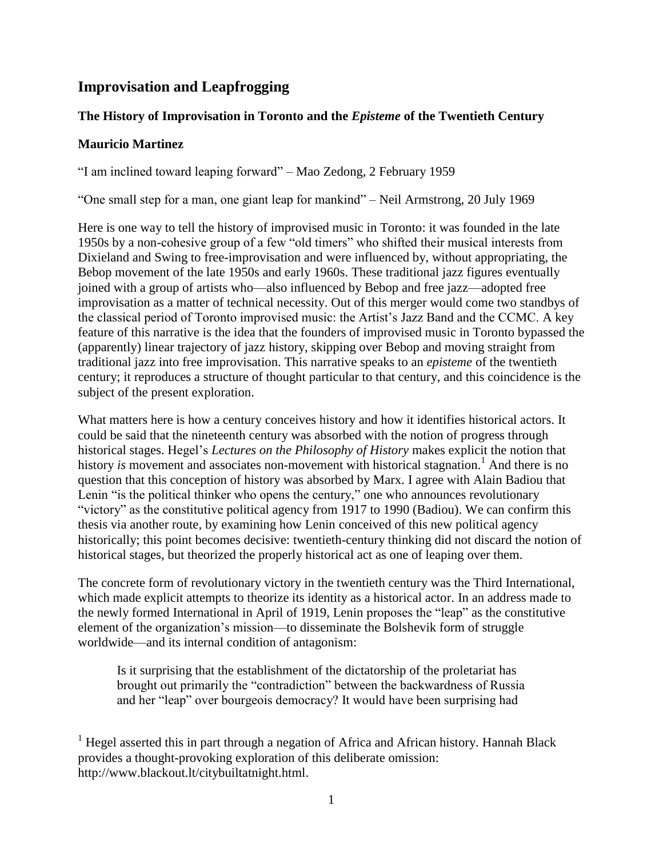# **Improvisation and Leapfrogging**

### **The History of Improvisation in Toronto and the** *Episteme* **of the Twentieth Century**

#### **Mauricio Martinez**

"I am inclined toward leaping forward" – Mao Zedong, 2 February 1959

"One small step for a man, one giant leap for mankind" – Neil Armstrong, 20 July 1969

Here is one way to tell the history of improvised music in Toronto: it was founded in the late 1950s by a non-cohesive group of a few "old timers" who shifted their musical interests from Dixieland and Swing to free-improvisation and were influenced by, without appropriating, the Bebop movement of the late 1950s and early 1960s. These traditional jazz figures eventually joined with a group of artists who—also influenced by Bebop and free jazz—adopted free improvisation as a matter of technical necessity. Out of this merger would come two standbys of the classical period of Toronto improvised music: the Artist's Jazz Band and the CCMC. A key feature of this narrative is the idea that the founders of improvised music in Toronto bypassed the (apparently) linear trajectory of jazz history, skipping over Bebop and moving straight from traditional jazz into free improvisation. This narrative speaks to an *episteme* of the twentieth century; it reproduces a structure of thought particular to that century, and this coincidence is the subject of the present exploration.

What matters here is how a century conceives history and how it identifies historical actors. It could be said that the nineteenth century was absorbed with the notion of progress through historical stages. Hegel's *Lectures on the Philosophy of History* makes explicit the notion that history *is* movement and associates non-movement with historical stagnation.<sup>1</sup> And there is no question that this conception of history was absorbed by Marx. I agree with Alain Badiou that Lenin "is the political thinker who opens the century," one who announces revolutionary "victory" as the constitutive political agency from 1917 to 1990 (Badiou). We can confirm this thesis via another route, by examining how Lenin conceived of this new political agency historically; this point becomes decisive: twentieth-century thinking did not discard the notion of historical stages, but theorized the properly historical act as one of leaping over them.

The concrete form of revolutionary victory in the twentieth century was the Third International, which made explicit attempts to theorize its identity as a historical actor. In an address made to the newly formed International in April of 1919, Lenin proposes the "leap" as the constitutive element of the organization's mission—to disseminate the Bolshevik form of struggle worldwide—and its internal condition of antagonism:

Is it surprising that the establishment of the dictatorship of the proletariat has brought out primarily the "contradiction" between the backwardness of Russia and her "leap" over bourgeois democracy? It would have been surprising had

<sup>1</sup> Hegel asserted this in part through a negation of Africa and African history. Hannah Black provides a thought-provoking exploration of this deliberate omission: http://www.blackout.lt/citybuiltatnight.html.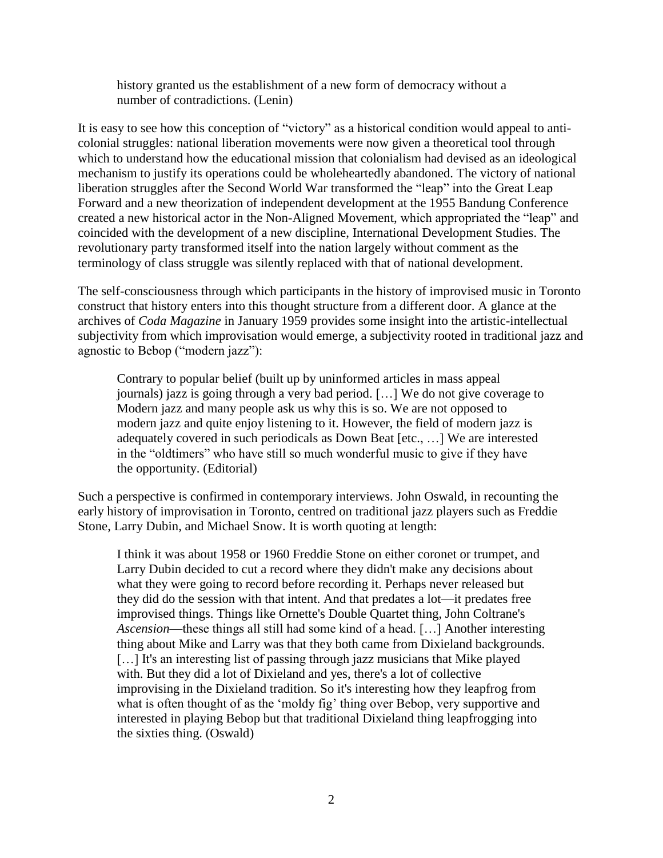history granted us the establishment of a new form of democracy without a number of contradictions. (Lenin)

It is easy to see how this conception of "victory" as a historical condition would appeal to anticolonial struggles: national liberation movements were now given a theoretical tool through which to understand how the educational mission that colonialism had devised as an ideological mechanism to justify its operations could be wholeheartedly abandoned. The victory of national liberation struggles after the Second World War transformed the "leap" into the Great Leap Forward and a new theorization of independent development at the 1955 Bandung Conference created a new historical actor in the Non-Aligned Movement, which appropriated the "leap" and coincided with the development of a new discipline, International Development Studies. The revolutionary party transformed itself into the nation largely without comment as the terminology of class struggle was silently replaced with that of national development.

The self-consciousness through which participants in the history of improvised music in Toronto construct that history enters into this thought structure from a different door. A glance at the archives of *Coda Magazine* in January 1959 provides some insight into the artistic-intellectual subjectivity from which improvisation would emerge, a subjectivity rooted in traditional jazz and agnostic to Bebop ("modern jazz"):

Contrary to popular belief (built up by uninformed articles in mass appeal journals) jazz is going through a very bad period. […] We do not give coverage to Modern jazz and many people ask us why this is so. We are not opposed to modern jazz and quite enjoy listening to it. However, the field of modern jazz is adequately covered in such periodicals as Down Beat [etc., …] We are interested in the "oldtimers" who have still so much wonderful music to give if they have the opportunity. (Editorial)

Such a perspective is confirmed in contemporary interviews. John Oswald, in recounting the early history of improvisation in Toronto, centred on traditional jazz players such as Freddie Stone, Larry Dubin, and Michael Snow. It is worth quoting at length:

I think it was about 1958 or 1960 Freddie Stone on either coronet or trumpet, and Larry Dubin decided to cut a record where they didn't make any decisions about what they were going to record before recording it. Perhaps never released but they did do the session with that intent. And that predates a lot—it predates free improvised things. Things like Ornette's Double Quartet thing, John Coltrane's *Ascension*—these things all still had some kind of a head. […] Another interesting thing about Mike and Larry was that they both came from Dixieland backgrounds. [...] It's an interesting list of passing through jazz musicians that Mike played with. But they did a lot of Dixieland and yes, there's a lot of collective improvising in the Dixieland tradition. So it's interesting how they leapfrog from what is often thought of as the 'moldy fig' thing over Bebop, very supportive and interested in playing Bebop but that traditional Dixieland thing leapfrogging into the sixties thing. (Oswald)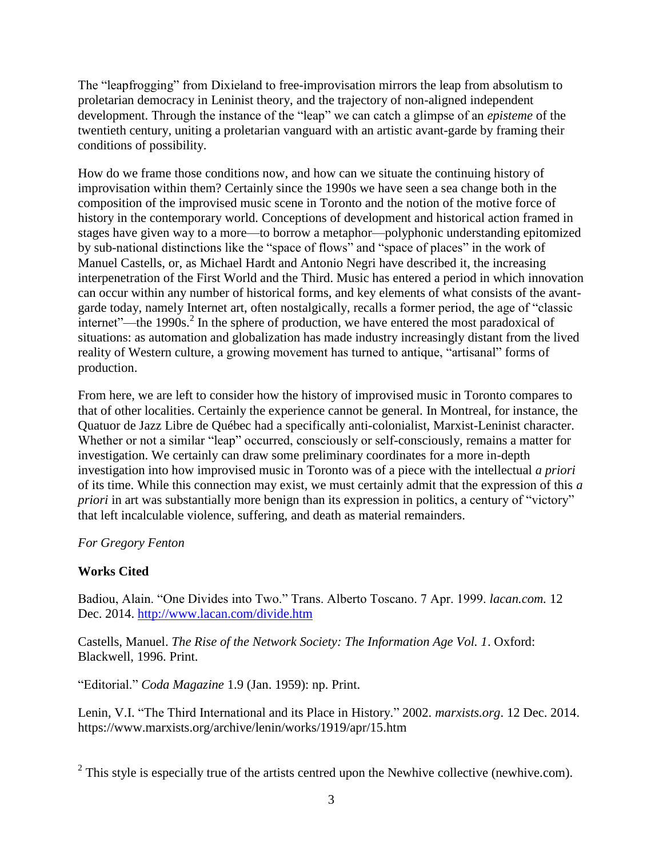The "leapfrogging" from Dixieland to free-improvisation mirrors the leap from absolutism to proletarian democracy in Leninist theory, and the trajectory of non-aligned independent development. Through the instance of the "leap" we can catch a glimpse of an *episteme* of the twentieth century, uniting a proletarian vanguard with an artistic avant-garde by framing their conditions of possibility.

How do we frame those conditions now, and how can we situate the continuing history of improvisation within them? Certainly since the 1990s we have seen a sea change both in the composition of the improvised music scene in Toronto and the notion of the motive force of history in the contemporary world. Conceptions of development and historical action framed in stages have given way to a more—to borrow a metaphor—polyphonic understanding epitomized by sub-national distinctions like the "space of flows" and "space of places" in the work of Manuel Castells, or, as Michael Hardt and Antonio Negri have described it, the increasing interpenetration of the First World and the Third. Music has entered a period in which innovation can occur within any number of historical forms, and key elements of what consists of the avantgarde today, namely Internet art, often nostalgically, recalls a former period, the age of "classic internet"—the 1990s. 2 In the sphere of production, we have entered the most paradoxical of situations: as automation and globalization has made industry increasingly distant from the lived reality of Western culture, a growing movement has turned to antique, "artisanal" forms of production.

From here, we are left to consider how the history of improvised music in Toronto compares to that of other localities. Certainly the experience cannot be general. In Montreal, for instance, the Quatuor de Jazz Libre de Québec had a specifically anti-colonialist, Marxist-Leninist character. Whether or not a similar "leap" occurred, consciously or self-consciously, remains a matter for investigation. We certainly can draw some preliminary coordinates for a more in-depth investigation into how improvised music in Toronto was of a piece with the intellectual *a priori* of its time. While this connection may exist, we must certainly admit that the expression of this *a priori* in art was substantially more benign than its expression in politics, a century of "victory" that left incalculable violence, suffering, and death as material remainders.

#### *For Gregory Fenton*

## **Works Cited**

Badiou, Alain. "One Divides into Two." Trans. Alberto Toscano. 7 Apr. 1999. *lacan.com.* 12 Dec. 2014.<http://www.lacan.com/divide.htm>

Castells, Manuel. *The Rise of the Network Society: The Information Age Vol. 1*. Oxford: Blackwell, 1996. Print.

"Editorial." *Coda Magazine* 1.9 (Jan. 1959): np. Print.

Lenin, V.I. "The Third International and its Place in History." 2002. *marxists.org*. 12 Dec. 2014. https://www.marxists.org/archive/lenin/works/1919/apr/15.htm

 $2$  This style is especially true of the artists centred upon the Newhive collective (newhive.com).